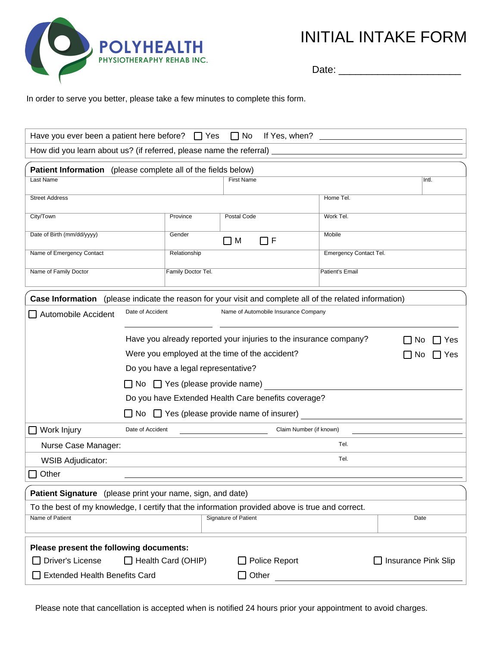

ITIAL <mark>INTAKE FORM</mark> INITIAL INTAKE FORM

Date Date: \_\_\_\_\_\_\_\_\_\_\_\_\_\_\_\_\_\_\_\_\_\_

 $\frac{1}{2}$  order to serve you better, please take a few minutes to semplete this ferm In order to serve you better, please take a few minutes to complete this form.

| Have you ever been a patient here before? $\Box$ Yes<br>$\Box$ No                                               |                                                                                |                                                          |                                |               |                               |                            |  |
|-----------------------------------------------------------------------------------------------------------------|--------------------------------------------------------------------------------|----------------------------------------------------------|--------------------------------|---------------|-------------------------------|----------------------------|--|
| How did you learn about us? (if referred, please name the referral) ________________________________            |                                                                                |                                                          |                                |               |                               |                            |  |
| Patient Information (please complete all of the fields below)                                                   |                                                                                |                                                          |                                |               |                               |                            |  |
| Last Name                                                                                                       |                                                                                |                                                          | <b>First Name</b>              |               |                               | Intl.                      |  |
| <b>Street Address</b>                                                                                           |                                                                                |                                                          |                                |               | Home Tel.                     |                            |  |
| City/Town                                                                                                       |                                                                                | Province                                                 | Postal Code                    |               | Work Tel.                     |                            |  |
| Date of Birth (mm/dd/yyyy)                                                                                      |                                                                                | Gender                                                   | Mobile<br>$\sqsupset$ F<br>O M |               |                               |                            |  |
| Name of Emergency Contact                                                                                       |                                                                                | Relationship                                             |                                |               | <b>Emergency Contact Tel.</b> |                            |  |
| Name of Family Doctor                                                                                           |                                                                                | Family Doctor Tel.                                       |                                |               | Patient's Email               |                            |  |
| <b>Case Information</b> (please indicate the reason for your visit and complete all of the related information) |                                                                                |                                                          |                                |               |                               |                            |  |
| Automobile Accident                                                                                             |                                                                                | Date of Accident<br>Name of Automobile Insurance Company |                                |               |                               |                            |  |
|                                                                                                                 | Have you already reported your injuries to the insurance company?<br>Nο<br>Yes |                                                          |                                |               |                               |                            |  |
|                                                                                                                 | Were you employed at the time of the accident?<br>No.<br>Yes                   |                                                          |                                |               |                               |                            |  |
|                                                                                                                 | Do you have a legal representative?                                            |                                                          |                                |               |                               |                            |  |
|                                                                                                                 | $\Box$ No $\Box$ Yes (please provide name)                                     |                                                          |                                |               |                               |                            |  |
|                                                                                                                 | Do you have Extended Health Care benefits coverage?                            |                                                          |                                |               |                               |                            |  |
|                                                                                                                 | $\Box$ No $\Box$ Yes (please provide name of insurer)                          |                                                          |                                |               |                               |                            |  |
| Work Injury                                                                                                     | Date of Accident<br>Claim Number (if known)                                    |                                                          |                                |               |                               |                            |  |
| Nurse Case Manager:                                                                                             | Tel.                                                                           |                                                          |                                |               |                               |                            |  |
| <b>WSIB Adjudicator:</b>                                                                                        |                                                                                |                                                          | Tel.                           |               |                               |                            |  |
| Other                                                                                                           |                                                                                |                                                          |                                |               |                               |                            |  |
| Patient Signature (please print your name, sign, and date)                                                      |                                                                                |                                                          |                                |               |                               |                            |  |
| To the best of my knowledge, I certify that the information provided above is true and correct.                 |                                                                                |                                                          |                                |               |                               |                            |  |
| Name of Patient<br><b>Signature of Patient</b><br>Date                                                          |                                                                                |                                                          |                                |               |                               |                            |  |
| Please present the following documents:                                                                         |                                                                                |                                                          |                                |               |                               |                            |  |
| Driver's License                                                                                                |                                                                                | Health Card (OHIP)                                       |                                | Police Report |                               | <b>Insurance Pink Slip</b> |  |
| Extended Health Benefits Card<br>$\Box$ Other                                                                   |                                                                                |                                                          |                                |               |                               |                            |  |

Please note that cancellation is accepted when is notified 24 hours prior your appointment to avoid charges.